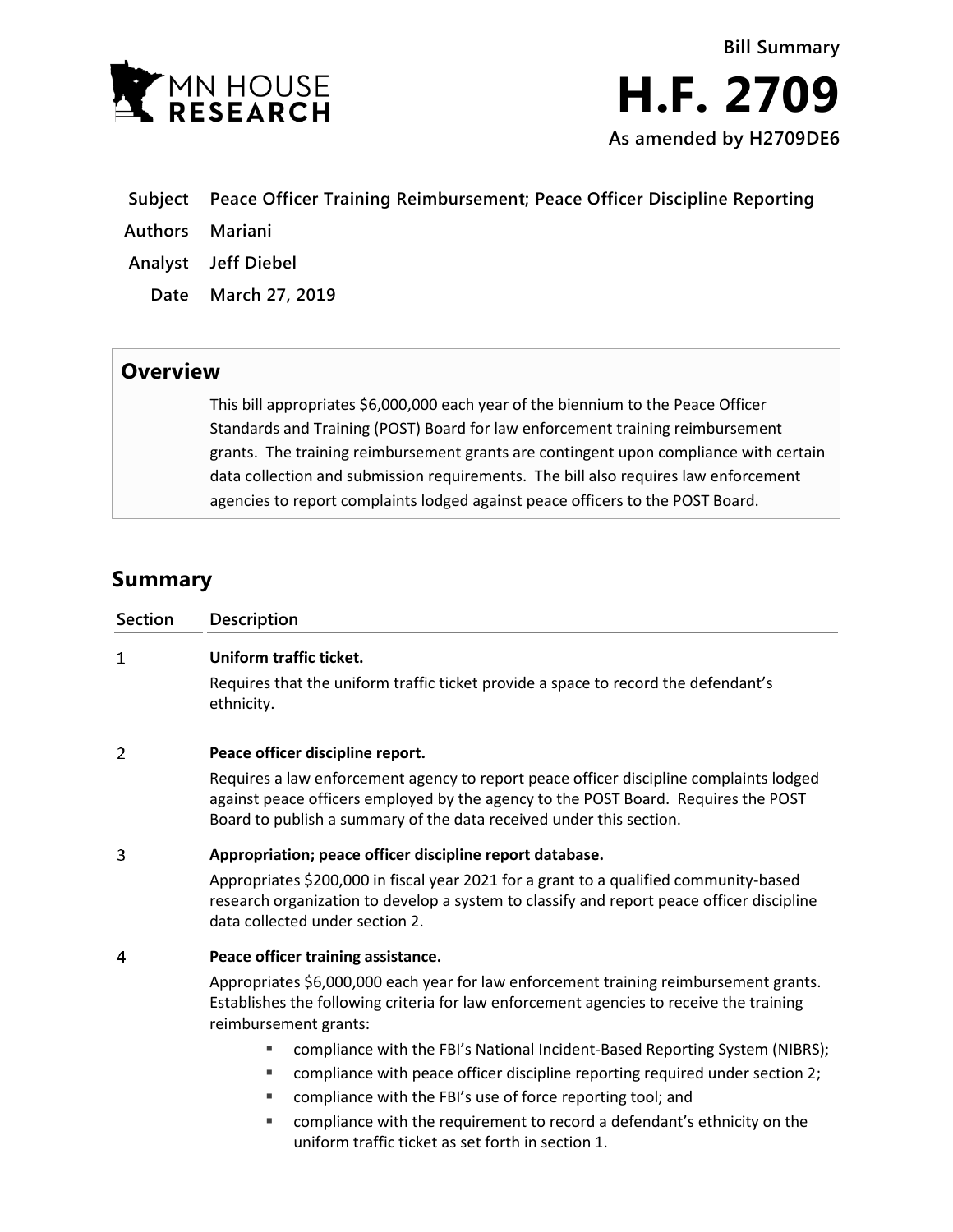

- **Subject Peace Officer Training Reimbursement; Peace Officer Discipline Reporting**
- **Authors Mariani**
- **Analyst Jeff Diebel**
	- **Date March 27, 2019**

## **Overview**

This bill appropriates \$6,000,000 each year of the biennium to the Peace Officer Standards and Training (POST) Board for law enforcement training reimbursement grants. The training reimbursement grants are contingent upon compliance with certain data collection and submission requirements. The bill also requires law enforcement agencies to report complaints lodged against peace officers to the POST Board.

## **Summary**

| <b>Description</b>                                                                                                                                                                                                                                                                                                        |
|---------------------------------------------------------------------------------------------------------------------------------------------------------------------------------------------------------------------------------------------------------------------------------------------------------------------------|
| Uniform traffic ticket.                                                                                                                                                                                                                                                                                                   |
| Requires that the uniform traffic ticket provide a space to record the defendant's<br>ethnicity.                                                                                                                                                                                                                          |
| Peace officer discipline report.                                                                                                                                                                                                                                                                                          |
| Requires a law enforcement agency to report peace officer discipline complaints lodged<br>against peace officers employed by the agency to the POST Board. Requires the POST<br>Board to publish a summary of the data received under this section.                                                                       |
| Appropriation; peace officer discipline report database.                                                                                                                                                                                                                                                                  |
| Appropriates \$200,000 in fiscal year 2021 for a grant to a qualified community-based<br>research organization to develop a system to classify and report peace officer discipline<br>data collected under section 2.                                                                                                     |
| Peace officer training assistance.                                                                                                                                                                                                                                                                                        |
| Appropriates \$6,000,000 each year for law enforcement training reimbursement grants.<br>Establishes the following criteria for law enforcement agencies to receive the training<br>reimbursement grants:                                                                                                                 |
| compliance with the FBI's National Incident-Based Reporting System (NIBRS);<br>ш<br>compliance with peace officer discipline reporting required under section 2;<br>٠<br>compliance with the FBI's use of force reporting tool; and<br>ш<br>compliance with the requirement to record a defendant's ethnicity on the<br>ш |
|                                                                                                                                                                                                                                                                                                                           |